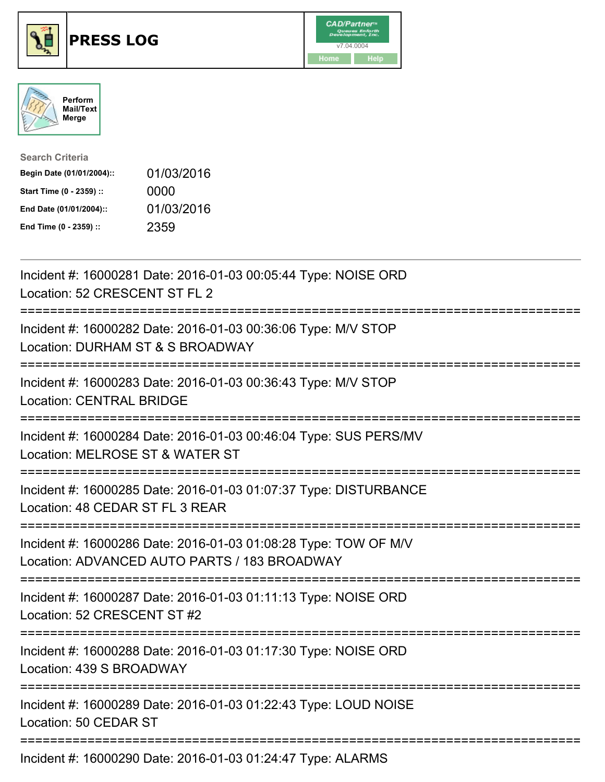





| <b>Search Criteria</b>    |            |
|---------------------------|------------|
| Begin Date (01/01/2004):: | 01/03/2016 |
| Start Time (0 - 2359) ::  | 0000       |
| End Date (01/01/2004)::   | 01/03/2016 |
| End Time (0 - 2359) ::    | 2359       |

| Incident #: 16000281 Date: 2016-01-03 00:05:44 Type: NOISE ORD<br>Location: 52 CRESCENT ST FL 2                                 |
|---------------------------------------------------------------------------------------------------------------------------------|
| Incident #: 16000282 Date: 2016-01-03 00:36:06 Type: M/V STOP<br>Location: DURHAM ST & S BROADWAY                               |
| Incident #: 16000283 Date: 2016-01-03 00:36:43 Type: M/V STOP<br><b>Location: CENTRAL BRIDGE</b><br>------------                |
| Incident #: 16000284 Date: 2016-01-03 00:46:04 Type: SUS PERS/MV<br>Location: MELROSE ST & WATER ST<br>==============           |
| Incident #: 16000285 Date: 2016-01-03 01:07:37 Type: DISTURBANCE<br>Location: 48 CEDAR ST FL 3 REAR<br>-------------            |
| Incident #: 16000286 Date: 2016-01-03 01:08:28 Type: TOW OF M/V<br>Location: ADVANCED AUTO PARTS / 183 BROADWAY<br>------------ |
| Incident #: 16000287 Date: 2016-01-03 01:11:13 Type: NOISE ORD<br>Location: 52 CRESCENT ST #2                                   |
| Incident #: 16000288 Date: 2016-01-03 01:17:30 Type: NOISE ORD<br>Location: 439 S BROADWAY                                      |
| Incident #: 16000289 Date: 2016-01-03 01:22:43 Type: LOUD NOISE<br>Location: 50 CEDAR ST                                        |
| Incident #: 16000290 Date: 2016-01-03 01:24:47 Type: ALARMS                                                                     |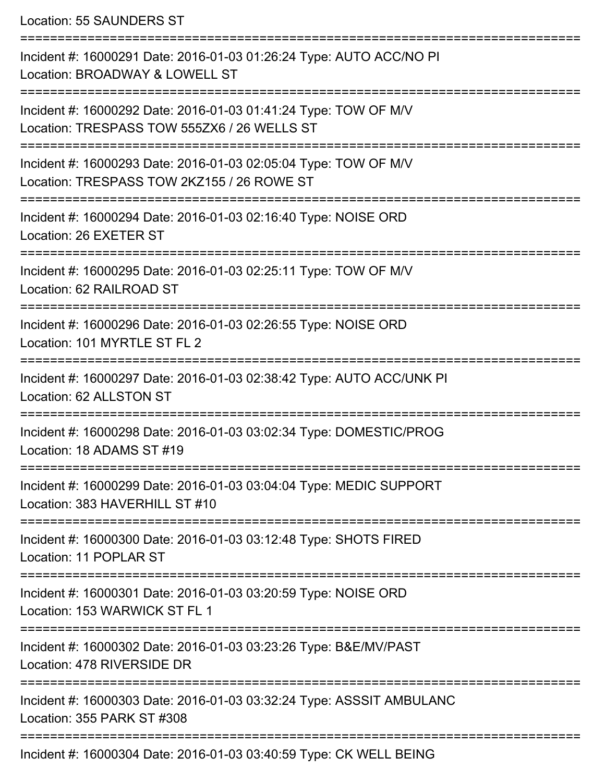Location: 55 SAUNDERS ST

=========================================================================== Incident #: 16000291 Date: 2016-01-03 01:26:24 Type: AUTO ACC/NO PI Location: BROADWAY & LOWELL ST =========================================================================== Incident #: 16000292 Date: 2016-01-03 01:41:24 Type: TOW OF M/V Location: TRESPASS TOW 555ZX6 / 26 WELLS ST =========================================================================== Incident #: 16000293 Date: 2016-01-03 02:05:04 Type: TOW OF M/V Location: TRESPASS TOW 2KZ155 / 26 ROWE ST =========================================================================== Incident #: 16000294 Date: 2016-01-03 02:16:40 Type: NOISE ORD Location: 26 EXETER ST =========================================================================== Incident #: 16000295 Date: 2016-01-03 02:25:11 Type: TOW OF M/V Location: 62 RAILROAD ST =========================================================================== Incident #: 16000296 Date: 2016-01-03 02:26:55 Type: NOISE ORD Location: 101 MYRTLE ST FL 2 =========================================================================== Incident #: 16000297 Date: 2016-01-03 02:38:42 Type: AUTO ACC/UNK PI Location: 62 ALLSTON ST =========================================================================== Incident #: 16000298 Date: 2016-01-03 03:02:34 Type: DOMESTIC/PROG Location: 18 ADAMS ST #19 =========================================================================== Incident #: 16000299 Date: 2016-01-03 03:04:04 Type: MEDIC SUPPORT Location: 383 HAVERHILL ST #10 =========================================================================== Incident #: 16000300 Date: 2016-01-03 03:12:48 Type: SHOTS FIRED Location: 11 POPLAR ST =========================================================================== Incident #: 16000301 Date: 2016-01-03 03:20:59 Type: NOISE ORD Location: 153 WARWICK ST FL 1 =========================================================================== Incident #: 16000302 Date: 2016-01-03 03:23:26 Type: B&E/MV/PAST Location: 478 RIVERSIDE DR =========================================================================== Incident #: 16000303 Date: 2016-01-03 03:32:24 Type: ASSSIT AMBULANC Location: 355 PARK ST #308 =========================================================================== Incident #: 16000304 Date: 2016-01-03 03:40:59 Type: CK WELL BEING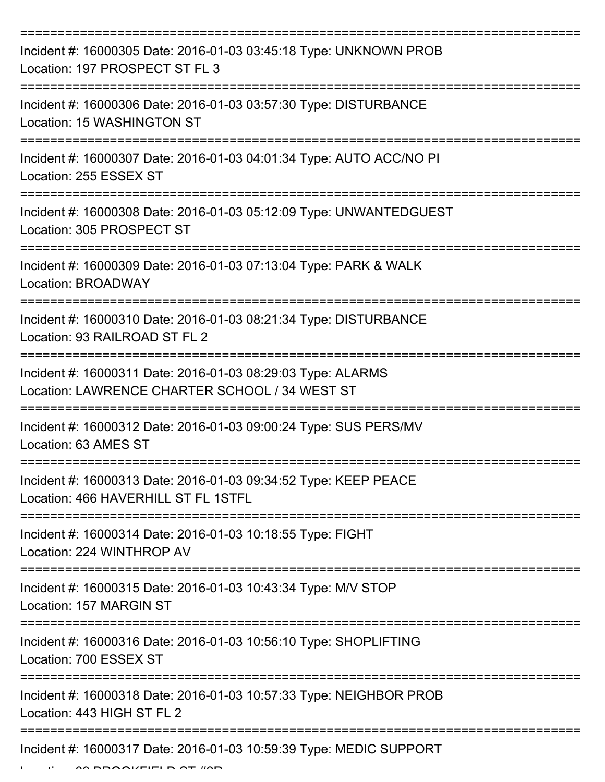| Incident #: 16000305 Date: 2016-01-03 03:45:18 Type: UNKNOWN PROB<br>Location: 197 PROSPECT ST FL 3           |
|---------------------------------------------------------------------------------------------------------------|
| Incident #: 16000306 Date: 2016-01-03 03:57:30 Type: DISTURBANCE<br>Location: 15 WASHINGTON ST                |
| Incident #: 16000307 Date: 2016-01-03 04:01:34 Type: AUTO ACC/NO PI<br>Location: 255 ESSEX ST                 |
| Incident #: 16000308 Date: 2016-01-03 05:12:09 Type: UNWANTEDGUEST<br>Location: 305 PROSPECT ST               |
| Incident #: 16000309 Date: 2016-01-03 07:13:04 Type: PARK & WALK<br>Location: BROADWAY                        |
| Incident #: 16000310 Date: 2016-01-03 08:21:34 Type: DISTURBANCE<br>Location: 93 RAILROAD ST FL 2             |
| Incident #: 16000311 Date: 2016-01-03 08:29:03 Type: ALARMS<br>Location: LAWRENCE CHARTER SCHOOL / 34 WEST ST |
| Incident #: 16000312 Date: 2016-01-03 09:00:24 Type: SUS PERS/MV<br>Location: 63 AMES ST                      |
| Incident #: 16000313 Date: 2016-01-03 09:34:52 Type: KEEP PEACE<br>Location: 466 HAVERHILL ST FL 1STFL        |
| Incident #: 16000314 Date: 2016-01-03 10:18:55 Type: FIGHT<br>Location: 224 WINTHROP AV                       |
| Incident #: 16000315 Date: 2016-01-03 10:43:34 Type: M/V STOP<br>Location: 157 MARGIN ST                      |
| Incident #: 16000316 Date: 2016-01-03 10:56:10 Type: SHOPLIFTING<br>Location: 700 ESSEX ST                    |
| Incident #: 16000318 Date: 2016-01-03 10:57:33 Type: NEIGHBOR PROB<br>Location: 443 HIGH ST FL 2              |
| Incident #: 16000317 Date: 2016-01-03 10:59:39 Type: MEDIC SUPPORT                                            |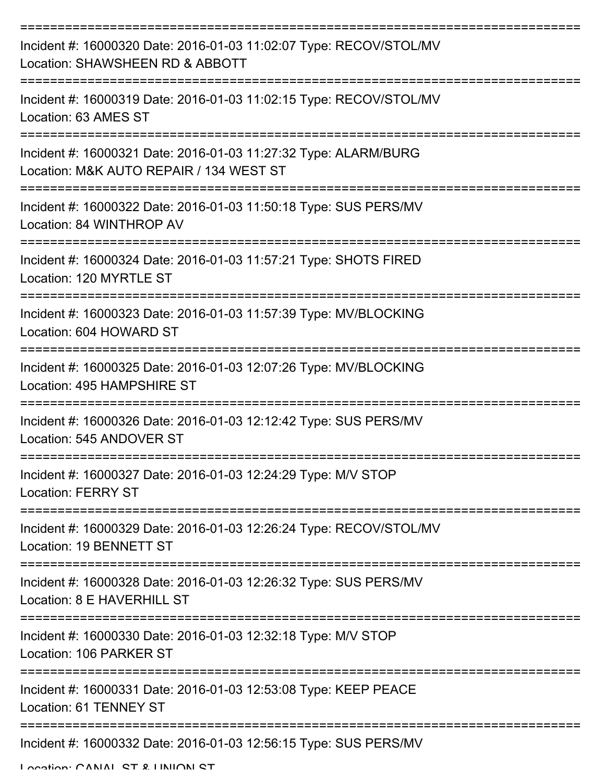| Incident #: 16000320 Date: 2016-01-03 11:02:07 Type: RECOV/STOL/MV<br>Location: SHAWSHEEN RD & ABBOTT      |
|------------------------------------------------------------------------------------------------------------|
| Incident #: 16000319 Date: 2016-01-03 11:02:15 Type: RECOV/STOL/MV<br>Location: 63 AMES ST                 |
| Incident #: 16000321 Date: 2016-01-03 11:27:32 Type: ALARM/BURG<br>Location: M&K AUTO REPAIR / 134 WEST ST |
| Incident #: 16000322 Date: 2016-01-03 11:50:18 Type: SUS PERS/MV<br>Location: 84 WINTHROP AV               |
| Incident #: 16000324 Date: 2016-01-03 11:57:21 Type: SHOTS FIRED<br>Location: 120 MYRTLE ST                |
| Incident #: 16000323 Date: 2016-01-03 11:57:39 Type: MV/BLOCKING<br>Location: 604 HOWARD ST                |
| Incident #: 16000325 Date: 2016-01-03 12:07:26 Type: MV/BLOCKING<br>Location: 495 HAMPSHIRE ST             |
| Incident #: 16000326 Date: 2016-01-03 12:12:42 Type: SUS PERS/MV<br>Location: 545 ANDOVER ST               |
| Incident #: 16000327 Date: 2016-01-03 12:24:29 Type: M/V STOP<br><b>Location: FERRY ST</b>                 |
| Incident #: 16000329 Date: 2016-01-03 12:26:24 Type: RECOV/STOL/MV<br>Location: 19 BENNETT ST              |
| Incident #: 16000328 Date: 2016-01-03 12:26:32 Type: SUS PERS/MV<br>Location: 8 E HAVERHILL ST             |
| Incident #: 16000330 Date: 2016-01-03 12:32:18 Type: M/V STOP<br>Location: 106 PARKER ST                   |
| Incident #: 16000331 Date: 2016-01-03 12:53:08 Type: KEEP PEACE<br>Location: 61 TENNEY ST                  |
| Incident #: 16000332 Date: 2016-01-03 12:56:15 Type: SUS PERS/MV                                           |

Location: CANIAL ST & HINHON ST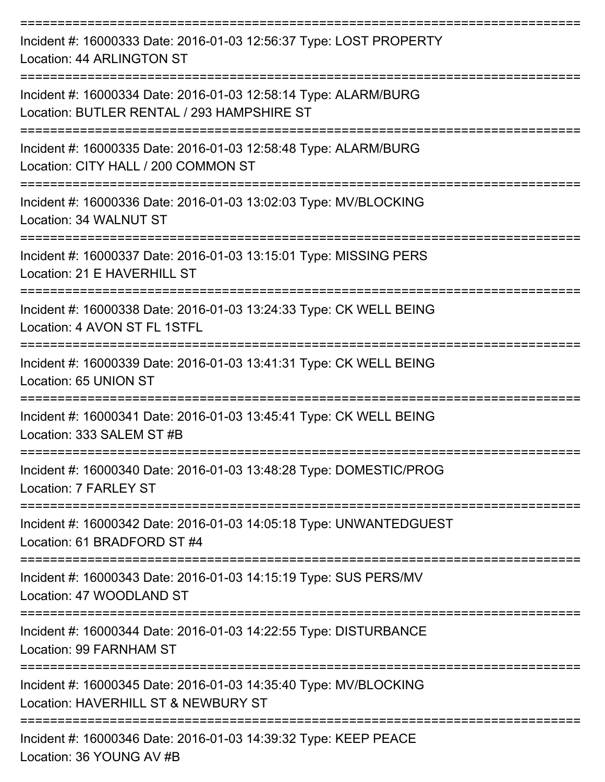| Incident #: 16000333 Date: 2016-01-03 12:56:37 Type: LOST PROPERTY<br><b>Location: 44 ARLINGTON ST</b>                            |
|-----------------------------------------------------------------------------------------------------------------------------------|
| Incident #: 16000334 Date: 2016-01-03 12:58:14 Type: ALARM/BURG<br>Location: BUTLER RENTAL / 293 HAMPSHIRE ST                     |
| Incident #: 16000335 Date: 2016-01-03 12:58:48 Type: ALARM/BURG<br>Location: CITY HALL / 200 COMMON ST                            |
| Incident #: 16000336 Date: 2016-01-03 13:02:03 Type: MV/BLOCKING<br>Location: 34 WALNUT ST                                        |
| Incident #: 16000337 Date: 2016-01-03 13:15:01 Type: MISSING PERS<br>Location: 21 E HAVERHILL ST                                  |
| Incident #: 16000338 Date: 2016-01-03 13:24:33 Type: CK WELL BEING<br>Location: 4 AVON ST FL 1STFL                                |
| Incident #: 16000339 Date: 2016-01-03 13:41:31 Type: CK WELL BEING<br>Location: 65 UNION ST                                       |
| Incident #: 16000341 Date: 2016-01-03 13:45:41 Type: CK WELL BEING<br>Location: 333 SALEM ST #B                                   |
| Incident #: 16000340 Date: 2016-01-03 13:48:28 Type: DOMESTIC/PROG<br>Location: 7 FARLEY ST<br>=================                  |
| Incident #: 16000342 Date: 2016-01-03 14:05:18 Type: UNWANTEDGUEST<br>Location: 61 BRADFORD ST #4<br>---------------------------- |
| Incident #: 16000343 Date: 2016-01-03 14:15:19 Type: SUS PERS/MV<br>Location: 47 WOODLAND ST                                      |
| Incident #: 16000344 Date: 2016-01-03 14:22:55 Type: DISTURBANCE<br>Location: 99 FARNHAM ST                                       |
| Incident #: 16000345 Date: 2016-01-03 14:35:40 Type: MV/BLOCKING<br>Location: HAVERHILL ST & NEWBURY ST                           |
| Incident #: 16000346 Date: 2016-01-03 14:39:32 Type: KEEP PEACE                                                                   |

Location: 36 YOUNG AV #B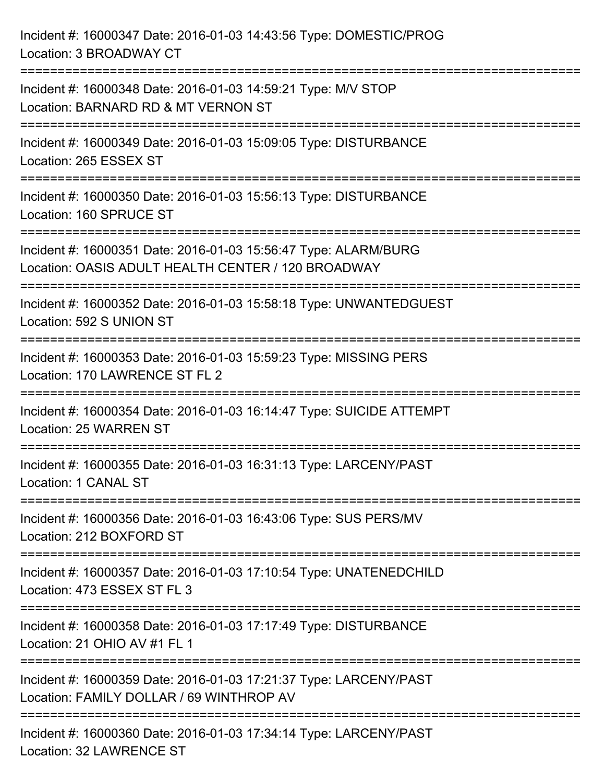Incident #: 16000347 Date: 2016-01-03 14:43:56 Type: DOMESTIC/PROG Location: 3 BROADWAY CT =========================================================================== Incident #: 16000348 Date: 2016-01-03 14:59:21 Type: M/V STOP Location: BARNARD RD & MT VERNON ST =========================================================================== Incident #: 16000349 Date: 2016-01-03 15:09:05 Type: DISTURBANCE Location: 265 ESSEX ST =========================================================================== Incident #: 16000350 Date: 2016-01-03 15:56:13 Type: DISTURBANCE Location: 160 SPRUCE ST =========================================================================== Incident #: 16000351 Date: 2016-01-03 15:56:47 Type: ALARM/BURG Location: OASIS ADULT HEALTH CENTER / 120 BROADWAY =========================================================================== Incident #: 16000352 Date: 2016-01-03 15:58:18 Type: UNWANTEDGUEST Location: 592 S UNION ST =========================================================================== Incident #: 16000353 Date: 2016-01-03 15:59:23 Type: MISSING PERS Location: 170 LAWRENCE ST FI 2 =========================================================================== Incident #: 16000354 Date: 2016-01-03 16:14:47 Type: SUICIDE ATTEMPT Location: 25 WARREN ST =========================================================================== Incident #: 16000355 Date: 2016-01-03 16:31:13 Type: LARCENY/PAST Location: 1 CANAL ST =========================================================================== Incident #: 16000356 Date: 2016-01-03 16:43:06 Type: SUS PERS/MV Location: 212 BOXFORD ST =========================================================================== Incident #: 16000357 Date: 2016-01-03 17:10:54 Type: UNATENEDCHILD Location: 473 ESSEX ST FL 3 =========================================================================== Incident #: 16000358 Date: 2016-01-03 17:17:49 Type: DISTURBANCE Location: 21 OHIO AV #1 FL 1 =========================================================================== Incident #: 16000359 Date: 2016-01-03 17:21:37 Type: LARCENY/PAST Location: FAMILY DOLLAR / 69 WINTHROP AV =========================================================================== Incident #: 16000360 Date: 2016-01-03 17:34:14 Type: LARCENY/PAST Location: 32 LAWRENCE ST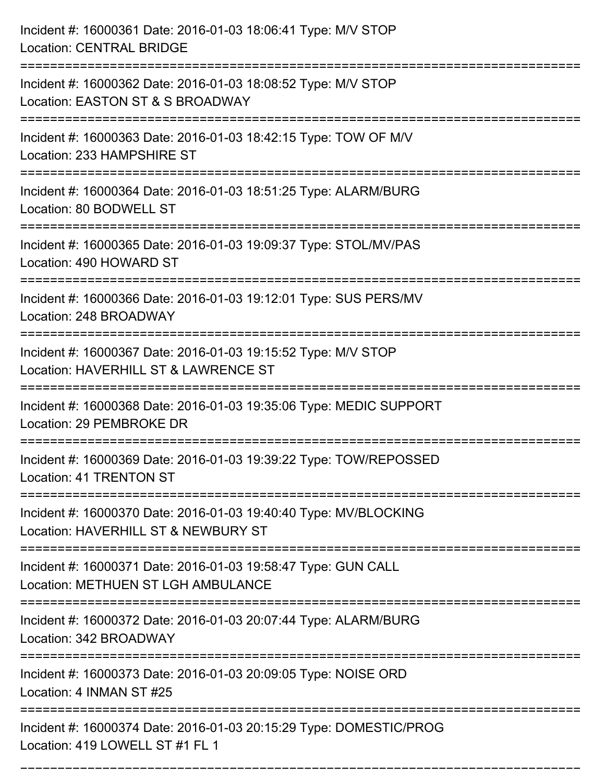| Incident #: 16000361 Date: 2016-01-03 18:06:41 Type: M/V STOP<br><b>Location: CENTRAL BRIDGE</b>        |
|---------------------------------------------------------------------------------------------------------|
| Incident #: 16000362 Date: 2016-01-03 18:08:52 Type: M/V STOP<br>Location: EASTON ST & S BROADWAY       |
| Incident #: 16000363 Date: 2016-01-03 18:42:15 Type: TOW OF M/V<br>Location: 233 HAMPSHIRE ST           |
| Incident #: 16000364 Date: 2016-01-03 18:51:25 Type: ALARM/BURG<br>Location: 80 BODWELL ST              |
| Incident #: 16000365 Date: 2016-01-03 19:09:37 Type: STOL/MV/PAS<br>Location: 490 HOWARD ST             |
| Incident #: 16000366 Date: 2016-01-03 19:12:01 Type: SUS PERS/MV<br>Location: 248 BROADWAY              |
| Incident #: 16000367 Date: 2016-01-03 19:15:52 Type: M/V STOP<br>Location: HAVERHILL ST & LAWRENCE ST   |
| Incident #: 16000368 Date: 2016-01-03 19:35:06 Type: MEDIC SUPPORT<br>Location: 29 PEMBROKE DR          |
| Incident #: 16000369 Date: 2016-01-03 19:39:22 Type: TOW/REPOSSED<br>Location: 41 TRENTON ST            |
| Incident #: 16000370 Date: 2016-01-03 19:40:40 Type: MV/BLOCKING<br>Location: HAVERHILL ST & NEWBURY ST |
| Incident #: 16000371 Date: 2016-01-03 19:58:47 Type: GUN CALL<br>Location: METHUEN ST LGH AMBULANCE     |
| Incident #: 16000372 Date: 2016-01-03 20:07:44 Type: ALARM/BURG<br>Location: 342 BROADWAY               |
| Incident #: 16000373 Date: 2016-01-03 20:09:05 Type: NOISE ORD<br>Location: 4 INMAN ST #25              |
| Incident #: 16000374 Date: 2016-01-03 20:15:29 Type: DOMESTIC/PROG<br>Location: 419 LOWELL ST #1 FL 1   |

===========================================================================